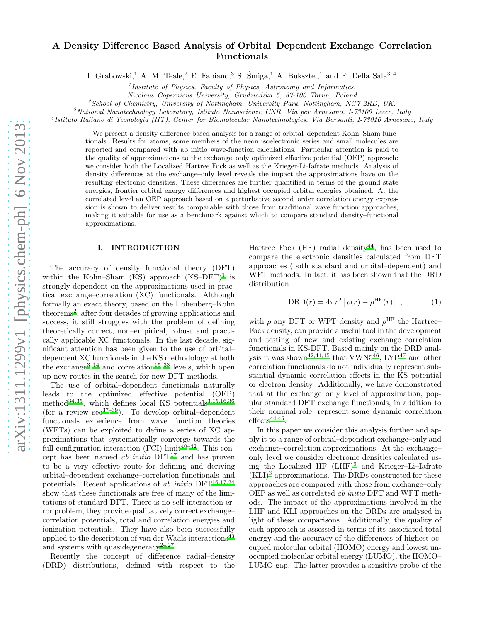# A Density Difference Based Analysis of Orbital–Dependent Exchange–Correlation Functionals

I. Grabowski,<sup>1</sup> A. M. Teale,<sup>2</sup> E. Fabiano,<sup>3</sup> S. Śmiga,<sup>1</sup> A. Buksztel,<sup>1</sup> and F. Della Sala<sup>3, 4</sup>

1 *Institute of Physics, Faculty of Physics, Astronomy and Informatics,*

*Nicolaus Copernicus University, Grudziadzka 5, 87-100 Torun, Poland*

<sup>2</sup>*School of Chemistry, University of Nottingham, University Park, Nottingham, NG7 2RD, UK.*

<sup>3</sup>*National Nanotechnology Laboratory, Istituto Nanoscienze–CNR, Via per Arnesano, I-73100 Lecce, Italy*

4 *Istituto Italiano di Tecnologia (IIT), Center for Biomolecular Nanotechnologies, Via Barsanti, I-73010 Arnesano, Italy*

We present a density difference based analysis for a range of orbital–dependent Kohn–Sham functionals. Results for atoms, some members of the neon isoelectronic series and small molecules are reported and compared with ab initio wave-function calculations. Particular attention is paid to the quality of approximations to the exchange–only optimized effective potential (OEP) approach: we consider both the Localized Hartree Fock as well as the Krieger-Li-Iafrate methods. Analysis of density differences at the exchange–only level reveals the impact the approximations have on the resulting electronic densities. These differences are further quantified in terms of the ground state energies, frontier orbital energy differences and highest occupied orbital energies obtained. At the correlated level an OEP approach based on a perturbative second–order correlation energy expression is shown to deliver results comparable with those from traditional wave function approaches, making it suitable for use as a benchmark against which to compare standard density–functional approximations.

# I. INTRODUCTION

The accuracy of density functional theory (DFT) within the Kohn–Sham  $(KS)$  approach  $(KS-DFT)^1$  $(KS-DFT)^1$  is strongly dependent on the approximations used in practical exchange–correlation (XC) functionals. Although formally an exact theory, based on the Hohenberg–Kohn theorems[2](#page-9-1) , after four decades of growing applications and success, it still struggles with the problem of defining theoretically correct, non–empirical, robust and practically applicable XC functionals. In the last decade, significant attention has been given to the use of orbital– dependent XC functionals in the KS methodology at both the exchange<sup>[3](#page-9-2)[–14](#page-9-3)</sup> and correlation<sup>[15](#page-9-4)[–33](#page-9-5)</sup> levels, which open up new routes in the search for new DFT methods.

The use of orbital–dependent functionals naturally leads to the optimized effective potential (OEP) method<sup>[34](#page-9-6)[,35](#page-9-7)</sup>, which defines local KS potentials<sup>[3](#page-9-2)[,15](#page-9-4)[,16](#page-9-8)[,36](#page-9-9)</sup> (for a review see $^{37-39}$  $^{37-39}$  $^{37-39}$ ). To develop orbital–dependent functionals experience from wave function theories (WFTs) can be exploited to define a series of XC approximations that systematically converge towards the full configuration interaction (FCI) limit $40-42$  $40-42$ . This concept has been named *ab initio*  $DFT^{17}$  $DFT^{17}$  $DFT^{17}$  and has proven to be a very effective route for defining and deriving orbital–dependent exchange–correlation functionals and potentials. Recent applications of ab initio  $DFT^{16,17,24}$  $DFT^{16,17,24}$  $DFT^{16,17,24}$  $DFT^{16,17,24}$  $DFT^{16,17,24}$ show that these functionals are free of many of the limitations of standard DFT. There is no self interaction error problem, they provide qualitatively correct exchange– correlation potentials, total and correlation energies and ionization potentials. They have also been successfully applied to the description of van der Waals interactions<sup>[43](#page-10-4)</sup> and systems with quasidegeneracy<sup>[24,](#page-9-11)[27](#page-9-12)</sup>.

Recently the concept of difference radial–density (DRD) distributions, defined with respect to the Hartree–Fock  $(HF)$  radial density<sup>[44](#page-10-5)</sup>, has been used to compare the electronic densities calculated from DFT approaches (both standard and orbital–dependent) and WFT methods. In fact, it has been shown that the DRD distribution

<span id="page-0-0"></span>
$$
\text{DRD}(r) = 4\pi r^2 \left[ \rho(r) - \rho^{\text{HF}}(r) \right] , \qquad (1)
$$

with  $\rho$  any DFT or WFT density and  $\rho^{\text{HF}}$  the Hartree– Fock density, can provide a useful tool in the development and testing of new and existing exchange–correlation functionals in KS-DFT. Based mainly on the DRD anal-ysis it was shown<sup>[42](#page-10-3)[,44](#page-10-5)[,45](#page-10-6)</sup> that VWN5<sup>[46](#page-10-7)</sup>, LYP<sup>[47](#page-10-8)</sup> and other correlation functionals do not individually represent substantial dynamic correlation effects in the KS potential or electron density. Additionally, we have demonstrated that at the exchange–only level of approximation, popular standard DFT exchange functionals, in addition to their nominal role, represent some dynamic correlation  $\text{effects}^{44,45}.$  $\text{effects}^{44,45}.$  $\text{effects}^{44,45}.$  $\text{effects}^{44,45}.$ 

In this paper we consider this analysis further and apply it to a range of orbital–dependent exchange–only and exchange–correlation approximations. At the exchange– only level we consider electronic densities calculated using the Localized HF  $(LHF)^9$  $(LHF)^9$  and Krieger–Li–Iafrate  $(KLI)^3$  $(KLI)^3$  approximations. The DRDs constructed for these approaches are compared with those from exchange–only OEP as well as correlated ab initio DFT and WFT methods. The impact of the approximations involved in the LHF and KLI approaches on the DRDs are analysed in light of these comparisons. Additionally, the quality of each approach is assessed in terms of its associated total energy and the accuracy of the differences of highest occupied molecular orbital (HOMO) energy and lowest unoccupied molecular orbital energy (LUMO), the HOMO– LUMO gap. The latter provides a sensitive probe of the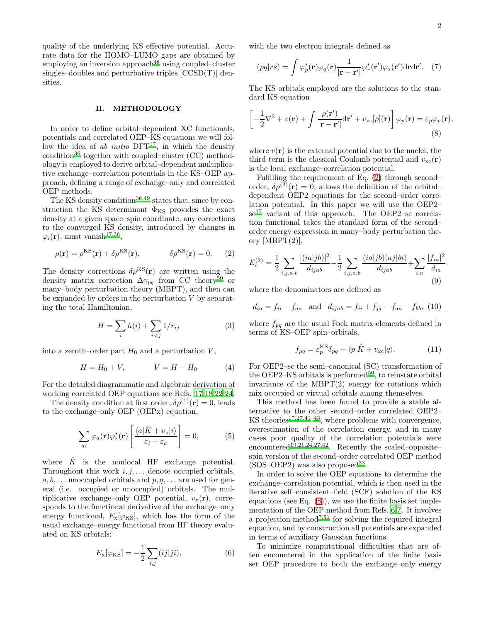<span id="page-1-1"></span>.

quality of the underlying KS effective potential. Accurate data for the HOMO–LUMO gaps are obtained by employing an inversion approach<sup>[48](#page-10-9)</sup> using coupled–cluster singles–doubles and perturbative triples [CCSD(T)] densities.

## II. METHODOLOGY

In order to define orbital–dependent XC functionals, potentials and correlated OEP–KS equations we will follow the idea of ab initio  $DFT^{17}$  $DFT^{17}$  $DFT^{17}$ , in which the density condition<sup>[36](#page-9-9)</sup> together with coupled–cluster  $(CC)$  methodology is employed to derive orbital–dependent multiplicative exchange–correlation potentials in the KS–OEP approach, defining a range of exchange–only and correlated OEP methods.

The KS density condition<sup>[36](#page-9-9)[,49](#page-10-10)</sup> states that, since by construction the KS determinant  $\Phi_{\rm KS}$  provides the exact density at a given space–spin coordinate, any corrections to the converged KS density, introduced by changes in  $\varphi_i(\mathbf{r})$ , must vanish<sup>[17](#page-9-10)[,36](#page-9-9)</sup>,

$$
\rho(\mathbf{r}) = \rho^{KS}(\mathbf{r}) + \delta \rho^{KS}(\mathbf{r}), \qquad \delta \rho^{KS}(\mathbf{r}) = 0. \tag{2}
$$

The density corrections  $\delta \rho^{\text{KS}}(\mathbf{r})$  are written using the density matrix correction  $\Delta\gamma_{pq}$  from CC theory<sup>[50](#page-10-11)</sup> or many–body perturbation theory (MBPT), and then can be expanded by orders in the perturbation  $V$  by separating the total Hamiltonian,

$$
H = \sum_{i} h(i) + \sum_{i < j} 1/r_{ij} \tag{3}
$$

into a zeroth–order part  $H_0$  and a perturbation  $V$ ,

$$
H = H_0 + V, \qquad \qquad V = H - H_0 \tag{4}
$$

For the detailed diagrammatic and algebraic derivation of working correlated OEP equations see Refs. [17](#page-9-10)[,18](#page-9-14)[,22](#page-9-15)[,24](#page-9-11).

The density condition at first order,  $\delta \rho^{(1)}(\mathbf{r}) = 0$ , leads to the exchange–only OEP (OEPx) equation,

$$
\sum_{ai} \varphi_a(\mathbf{r}) \varphi_i^*(\mathbf{r}) \left[ \frac{\langle a | \hat{K} + v_{\mathbf{x}} | i \rangle}{\varepsilon_i - \varepsilon_a} \right] = 0, \tag{5}
$$

where  $\hat{K}$  is the nonlocal HF exchange potential. Throughout this work  $i, j, \ldots$  denote occupied orbitals,  $a, b, \ldots$  unoccupied orbitals and  $p, q, \ldots$  are used for general (i.e. occupied or unoccupied) orbitals. The multiplicative exchange–only OEP potential,  $v_x(\mathbf{r})$ , corresponds to the functional derivative of the exchange–only energy functional,  $E_x[\varphi_{\rm KS}]$ , which has the form of the usual exchange–energy functional from HF theory evaluated on KS orbitals:

$$
E_{\mathbf{x}}[\varphi_{\rm KS}] = -\frac{1}{2} \sum_{i,j} (ij|ji),\tag{6}
$$

with the two electron integrals defined as

$$
(pq|rs) = \int \varphi_p^*(\mathbf{r}) \varphi_q(\mathbf{r}) \frac{1}{|\mathbf{r} - \mathbf{r}'|} \varphi_r^*(\mathbf{r}') \varphi_s(\mathbf{r}') d\mathbf{r} d\mathbf{r}'. \quad (7)
$$

The KS orbitals employed are the solutions to the standard KS equation

$$
\left[ -\frac{1}{2}\nabla^2 + v(\mathbf{r}) + \int \frac{\rho(\mathbf{r}')}{|\mathbf{r} - \mathbf{r}'|} d\mathbf{r}' + v_{\rm xc}[\rho](\mathbf{r}) \right] \varphi_p(\mathbf{r}) = \varepsilon_p \varphi_p(\mathbf{r}),
$$
\n(8)

where  $v(\mathbf{r})$  is the external potential due to the nuclei, the third term is the classical Coulomb potential and  $v_{\text{xc}}(\mathbf{r})$ is the local exchange–correlation potential.

Fulfilling the requirement of Eq. [\(2\)](#page-1-0) through second– order,  $\delta \rho^{(\tilde{2})}(\mathbf{r}) = 0$ , allows the definition of the orbitaldependent OEP2 equations for the second–order correlation potential. In this paper we will use the OEP2–  $\mathrm{sc}^{17}$  $\mathrm{sc}^{17}$  $\mathrm{sc}^{17}$  variant of this approach. The OEP2–sc correlation functional takes the standard form of the second– order energy expression in many–body perturbation theory  $[MBPT(2)],$ 

<span id="page-1-0"></span>
$$
E_c^{(2)} = \frac{1}{2} \sum_{i,j,a,b} \frac{|(ia|jb)|^2}{d_{ijab}} - \frac{1}{2} \sum_{i,j,a,b} \frac{(ia|jb)(aj|bi)}{d_{ijab}} + \sum_{i,a} \frac{|f_{ia}|^2}{d_{ia}} \tag{9}
$$

where the denominators are defined as

$$
d_{ia} = f_{ii} - f_{aa}
$$
 and  $d_{ijab} = f_{ii} + f_{jj} - f_{aa} - f_{bb}$ , (10)

where  $f_{pq}$  are the usual Fock matrix elements defined in terms of KS–OEP spin–orbitals,

$$
f_{pq} = \varepsilon_p^{\text{KS}} \delta_{pq} - \langle p|\hat{K} + v_{\text{xc}}|q\rangle.
$$
 (11)

For OEP2–sc the semi–canonical (SC) transformation of the OEP2–KS orbitals is performed<sup>[50](#page-10-11)</sup>, to reinstate orbital invariance of the  $MBPT(2)$  energy for rotations which mix occupied or virtual orbitals among themselves.

This method has been found to provide a stable alternative to the other second–order correlated OEP2– KS theories<sup>[17](#page-9-10)[,27](#page-9-12)[,41](#page-10-12)[–43](#page-10-4)</sup>, where problems with convergence, overestimation of the correlation energy, and in many cases poor quality of the correlation potentials were encountered<sup>[19](#page-9-16)[,21](#page-9-17)[,24](#page-9-11)[,27](#page-9-12)[,42](#page-10-3)</sup>. Recently the scaled–opposite– spin version of the second–order correlated OEP method  $(SOS-OEP2)$  was also proposed<sup>[33](#page-9-5)</sup>.

In order to solve the OEP equations to determine the exchange–correlation potential, which is then used in the iterative self–consistent–field (SCF) solution of the KS equations (see Eq.  $(8)$ ), we use the finite basis set implementation of the OEP method from Refs. [6](#page-9-18)[,7.](#page-9-19) It involves a projection method<sup> $7,51$  $7,51$ </sup> for solving the required integral equation, and by construction all potentials are expanded in terms of auxiliary Gaussian functions.

To minimize computational difficulties that are often encountered in the application of the finite basis set OEP procedure to both the exchange–only energy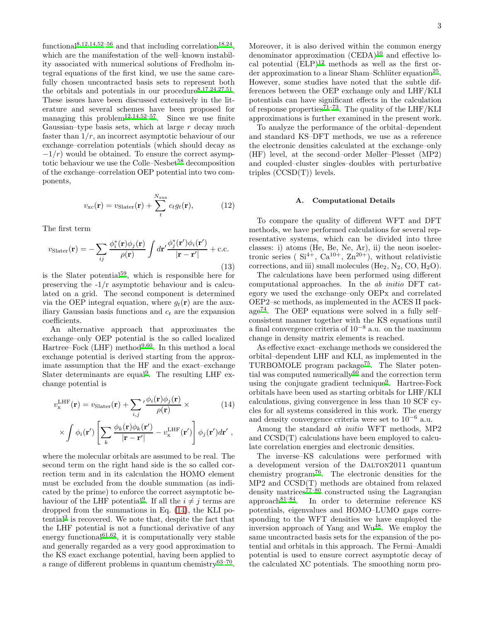functional<sup>[8](#page-9-20)[,12](#page-9-21)[,14](#page-9-3)[,52](#page-10-14)-56</sup> and that including correlation<sup>[18](#page-9-14)[,24](#page-9-11)</sup>, which are the manifestation of the well–known instability associated with numerical solutions of Fredholm integral equations of the first kind, we use the same carefully chosen uncontracted basis sets to represent both the orbitals and potentials in our procedure<sup>[8](#page-9-20)[,17](#page-9-10)[,24](#page-9-11)[,27](#page-9-12)[,51](#page-10-13)</sup>. These issues have been discussed extensively in the literature and several schemes have been proposed for managing this problem<sup>[12](#page-9-21)[,14](#page-9-3)[,52](#page-10-14)[–57](#page-10-16)</sup>. Since we use finite Gaussian–type basis sets, which at large  $r$  decay much faster than  $1/r$ , an incorrect asymptotic behaviour of our exchange–correlation potentials (which should decay as  $-1/r$ ) would be obtained. To ensure the correct asymp-totic behaviour we use the Colle–Nesbet<sup>[58](#page-10-17)</sup> decomposition of the exchange–correlation OEP potential into two components,

$$
v_{\rm xc}(\mathbf{r}) = v_{\rm Slater}(\mathbf{r}) + \sum_t^{N_{\rm aux}} c_t g_t(\mathbf{r}), \qquad (12)
$$

The first term

$$
v_{\text{Slater}}(\mathbf{r}) = -\sum_{ij} \frac{\phi_i^*(\mathbf{r})\phi_j(\mathbf{r})}{\rho(\mathbf{r})} \int d\mathbf{r}' \frac{\phi_j^*(\mathbf{r}')\phi_i(\mathbf{r}')}{|\mathbf{r} - \mathbf{r}'|} + \text{c.c.}
$$
\n(13)

is the Slater potential<sup>[59](#page-10-18)</sup>, which is responsible here for preserving the -1/r asymptotic behaviour and is calculated on a grid. The second component is determined via the OEP integral equation, where  $g_t(\mathbf{r})$  are the auxiliary Gaussian basis functions and  $c_t$  are the expansion coefficients.

An alternative approach that approximates the exchange–only OEP potential is the so called localized Hartree–Fock (LHF) method<sup>[9](#page-9-13)[,60](#page-10-19)</sup>. In this method a local exchange potential is derived starting from the approximate assumption that the HF and the exact–exchange Slater determinants are equal<sup>[9](#page-9-13)</sup>. The resulting LHF exchange potential is

<span id="page-2-0"></span>
$$
v_{\mathbf{x}}^{\text{LHF}}(\mathbf{r}) = v_{\text{Slater}}(\mathbf{r}) + \sum_{i,j} \frac{\phi_i(\mathbf{r}) \phi_j(\mathbf{r})}{\rho(\mathbf{r})} \times \tag{14}
$$

$$
\times \int \phi_i(\mathbf{r}') \left[ \sum_k \frac{\phi_k(\mathbf{r}) \phi_k(\mathbf{r}')}{|\mathbf{r} - \mathbf{r}'|} - v_\mathbf{x}^{\text{LHF}}(\mathbf{r}') \right] \phi_j(\mathbf{r}') d\mathbf{r}' ,
$$

where the molecular orbitals are assumed to be real. The second term on the right hand side is the so called correction term and in its calculation the HOMO element must be excluded from the double summation (as indicated by the prime) to enforce the correct asymptotic be-haviour of the LHF potential<sup>[9](#page-9-13)</sup>. If all the  $i \neq j$  terms are dropped from the summations in Eq. [\(14\)](#page-2-0), the KLI po-tential<sup>[3](#page-9-2)</sup> is recovered. We note that, despite the fact that the LHF potential is not a functional derivative of any energy functional<sup>[61](#page-10-20)[,62](#page-10-21)</sup>, it is computationally very stable and generally regarded as a very good approximation to the KS exact exchange potential, having been applied to a range of different problems in quantum chemistry<sup>[63](#page-10-22)-70</sup>.

Moreover, it is also derived within the common energy denominator approximation  $(CEDA)^{10}$  $(CEDA)^{10}$  $(CEDA)^{10}$  and effective local potential  $(ELP)^{12}$  $(ELP)^{12}$  $(ELP)^{12}$  methods as well as the first or-der approximation to a linear Sham–Schlüter equation<sup>[25](#page-9-23)</sup>. However, some studies have noted that the subtle differences between the OEP exchange only and LHF/KLI potentials can have significant effects in the calculation of response properties<sup> $71-73$  $71-73$ </sup>. The quality of the LHF/KLI approximations is further examined in the present work.

To analyze the performance of the orbital–dependent and standard KS–DFT methods, we use as a reference the electronic densities calculated at the exchange–only (HF) level, at the second–order Møller–Plesset (MP2) and coupled–cluster singles–doubles with perturbative triples  $(CCSD(T))$  levels.

#### A. Computational Details

To compare the quality of different WFT and DFT methods, we have performed calculations for several representative systems, which can be divided into three classes: i) atoms (He, Be, Ne, Ar), ii) the neon isoelectronic series ( $Si^{4+}$ ,  $Ca^{10+}$ ,  $Zn^{20+}$ ), without relativistic corrections, and iii) small molecules (He<sub>2</sub>, N<sub>2</sub>, CO, H<sub>2</sub>O).

The calculations have been performed using different computational approaches. In the ab initio DFT category we used the exchange–only OEPx and correlated OEP2–sc methods, as implemented in the ACES II package[74](#page-10-26). The OEP equations were solved in a fully self– consistent manner together with the KS equations until a final convergence criteria of 10<sup>−</sup><sup>8</sup> a.u. on the maximum change in density matrix elements is reached.

As effective exact–exchange methods we considered the orbital–dependent LHF and KLI, as implemented in the TURBOMOLE program package<sup>[75](#page-10-27)</sup>. The Slater potential was computed numerically $^{60}$  $^{60}$  $^{60}$  and the correction term using the conjugate gradient technique<sup>[9](#page-9-13)</sup>. Hartree-Fock orbitals have been used as starting orbitals for LHF/KLI calculations, giving convergence in less than 10 SCF cycles for all systems considered in this work. The energy and density convergence criteria were set to  $10^{-6}$  a.u.

Among the standard ab initio WFT methods, MP2 and CCSD(T) calculations have been employed to calculate correlation energies and electronic densities.

The inverse–KS calculations were performed with a development version of the DALTON2011 quantum chemistry program<sup>[76](#page-10-28)</sup>. The electronic densities for the MP2 and CCSD(T) methods are obtained from relaxed density matrices<sup> $77-80$  $77-80$ </sup> constructed using the Lagrangian approach $81-84$  $81-84$ . In order to determine reference KS potentials, eigenvalues and HOMO–LUMO gaps corresponding to the WFT densities we have employed the inversion approach of Yang and  $Wu^{48}$  $Wu^{48}$  $Wu^{48}$ . We employ the same uncontracted basis sets for the expansion of the potential and orbitals in this approach. The Fermi–Amaldi potential is used to ensure correct asymptotic decay of the calculated XC potentials. The smoothing norm pro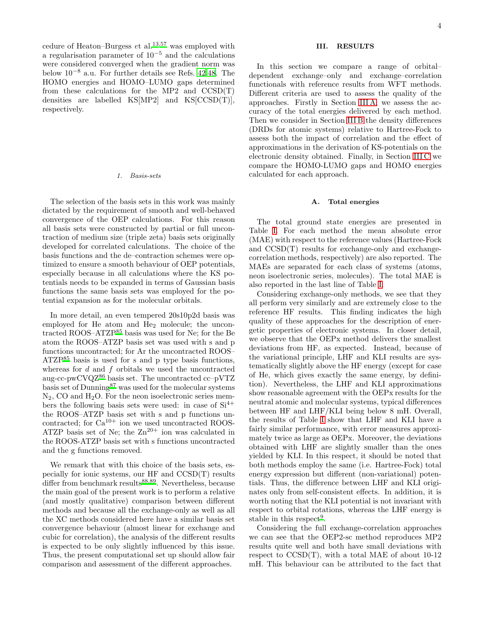cedure of Heaton–Burgess  $et$  al.<sup>[13](#page-9-24)[,57](#page-10-16)</sup> was employed with a regularisation parameter of  $10^{-5}$  and the calculations were considered converged when the gradient norm was below 10−<sup>8</sup> a.u. For further details see Refs. [42](#page-10-3)[,48.](#page-10-9) The HOMO energies and HOMO–LUMO gaps determined from these calculations for the MP2 and  $CCSD(T)$ densities are labelled KS[MP2] and KS[CCSD(T)], respectively.

#### *1. Basis-sets*

The selection of the basis sets in this work was mainly dictated by the requirement of smooth and well-behaved convergence of the OEP calculations. For this reason all basis sets were constructed by partial or full uncontraction of medium size (triple zeta) basis sets originally developed for correlated calculations. The choice of the basis functions and the de–contraction schemes were optimized to ensure a smooth behaviour of OEP potentials, especially because in all calculations where the KS potentials needs to be expanded in terms of Gaussian basis functions the same basis sets was employed for the potential expansion as for the molecular orbitals.

In more detail, an even tempered 20s10p2d basis was employed for He atom and He<sub>2</sub> molecule; the uncontracted ROOS–ATZP[85](#page-10-33) basis was used for Ne; for the Be atom the ROOS–ATZP basis set was used with s and p functions uncontracted; for Ar the uncontracted ROOS–  $ATZP<sup>85</sup>$  $ATZP<sup>85</sup>$  $ATZP<sup>85</sup>$  basis is used for s and p type basis functions, whereas for d and f orbitals we used the uncontracted aug-cc-pwCVQZ $^{86}$  $^{86}$  $^{86}$  basis set. The uncontracted cc–pVTZ basis set of Dunning[87](#page-10-35) was used for the molecular systems  $N_2$ , CO and  $H_2O$ . For the neon isoelectronic series members the following basis sets were used: in case of  $Si<sup>4+</sup>$ the ROOS–ATZP basis set with s and p functions uncontracted; for Ca<sup>10+</sup> ion we used uncontracted ROOS-ATZP basis set of Ne; the  $Zn^{20+}$  ion was calculated in the ROOS-ATZP basis set with s functions uncontracted and the g functions removed.

We remark that with this choice of the basis sets, especially for ionic systems, our HF and CCSD(T) results differ from benchmark results<sup>[88](#page-10-36)[,89](#page-10-37)</sup>. Nevertheless, because the main goal of the present work is to perform a relative (and mostly qualitative) comparison between different methods and because all the exchange-only as well as all the XC methods considered here have a similar basis set convergence behaviour (almost linear for exchange and cubic for correlation), the analysis of the different results is expected to be only slightly influenced by this issue. Thus, the present computational set up should allow fair comparison and assessment of the different approaches.

## III. RESULTS

In this section we compare a range of orbital– dependent exchange–only and exchange–correlation functionals with reference results from WFT methods. Different criteria are used to assess the quality of the approaches. Firstly in Section [III A,](#page-3-0) we assess the accuracy of the total energies delivered by each method. Then we consider in Section [III B](#page-4-0) the density differences (DRDs for atomic systems) relative to Hartree-Fock to assess both the impact of correlation and the effect of approximations in the derivation of KS-potentials on the electronic density obtained. Finally, in Section [III C](#page-6-0) we compare the HOMO-LUMO gaps and HOMO energies calculated for each approach.

#### <span id="page-3-0"></span>A. Total energies

The total ground state energies are presented in Table [I.](#page-4-1) For each method the mean absolute error (MAE) with respect to the reference values (Hartree-Fock and CCSD(T) results for exchange-only and exchangecorrelation methods, respectively) are also reported. The MAEs are separated for each class of systems (atoms, neon isoelectronic series, molecules). The total MAE is also reported in the last line of Table [I.](#page-4-1)

Considering exchange-only methods, we see that they all perform very similarly and are extremely close to the reference HF results. This finding indicates the high quality of these approaches for the description of energetic properties of electronic systems. In closer detail, we observe that the OEPx method delivers the smallest deviations from HF, as expected. Instead, because of the variational principle, LHF and KLI results are systematically slightly above the HF energy (except for case of He, which gives exactly the same energy, by definition). Nevertheless, the LHF and KLI approximations show reasonable agreement with the OEPx results for the neutral atomic and molecular systems, typical differences between HF and LHF/KLI being below 8 mH. Overall, the results of Table [I](#page-4-1) show that LHF and KLI have a fairly similar performance, with error measures approximately twice as large as OEPx. Moreover, the deviations obtained with LHF are slightly smaller than the ones yielded by KLI. In this respect, it should be noted that both methods employ the same (i.e. Hartree-Fock) total energy expression but different (non-variational) potentials. Thus, the difference between LHF and KLI originates only from self-consistent effects. In addition, it is worth noting that the KLI potential is not invariant with respect to orbital rotations, whereas the LHF energy is stable in this respect<sup>[9](#page-9-13)</sup>.

Considering the full exchange-correlation approaches we can see that the OEP2-sc method reproduces MP2 results quite well and both have small deviations with respect to CCSD(T), with a total MAE of about 10-12 mH. This behaviour can be attributed to the fact that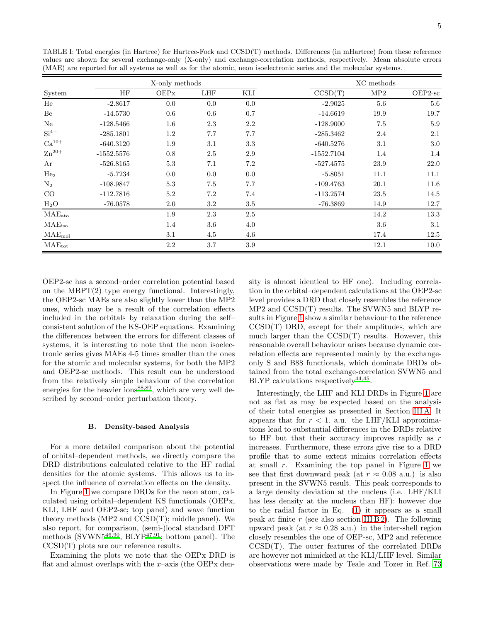|                     | X-only methods |      |            |         |              | XC methods |           |  |
|---------------------|----------------|------|------------|---------|--------------|------------|-----------|--|
| System              | HF             | OEPx | <b>LHF</b> | KLI     | CCSD(T)      | MP2        | $OEP2-sc$ |  |
| He                  | $-2.8617$      | 0.0  | 0.0        | 0.0     | $-2.9025$    | 5.6        | 5.6       |  |
| Be                  | $-14.5730$     | 0.6  | 0.6        | 0.7     | $-14.6619$   | 19.9       | 19.7      |  |
| Ne                  | $-128.5466$    | 1.6  | $2.3\,$    | 2.2     | $-128.9000$  | 7.5        | $5.9\,$   |  |
| $Si4+$              | $-285.1801$    | 1.2  | 7.7        | 7.7     | $-285.3462$  | 2.4        | 2.1       |  |
| $Ca^{10+}$          | $-640.3120$    | 1.9  | 3.1        | 3.3     | $-640.5276$  | 3.1        | $3.0\,$   |  |
| $\rm Zn^{20+}$      | $-1552.5576$   | 0.8  | $2.5\,$    | $2.9\,$ | $-1552.7104$ | 1.4        | 1.4       |  |
| Ar                  | $-526.8165$    | 5.3  | 7.1        | 7.2     | $-527.4575$  | 23.9       | 22.0      |  |
| He <sub>2</sub>     | $-5.7234$      | 0.0  | 0.0        | 0.0     | $-5.8051$    | 11.1       | 11.1      |  |
| $\mathrm{N}_2$      | $-108.9847$    | 5.3  | $7.5\,$    | 7.7     | $-109.4763$  | 20.1       | 11.6      |  |
| CO                  | $-112.7816$    | 5.2  | $7.2\,$    | 7.4     | $-113.2574$  | 23.5       | 14.5      |  |
| $H_2O$              | $-76.0578$     | 2.0  | 3.2        | 3.5     | $-76.3869$   | 14.9       | 12.7      |  |
| $MAE_{ato}$         |                | 1.9  | $2.3\,$    | 2.5     |              | 14.2       | 13.3      |  |
| MAE <sub>iso</sub>  |                | 1.4  | $3.6\,$    | 4.0     |              | 3.6        | 3.1       |  |
| $\rm MAE_{\rm mol}$ |                | 3.1  | 4.5        | 4.6     |              | 17.4       | 12.5      |  |
| $MAE_{tot}$         |                | 2.2  | 3.7        | 3.9     |              | 12.1       | 10.0      |  |

<span id="page-4-1"></span>TABLE I: Total energies (in Hartree) for Hartree-Fock and CCSD(T) methods. Differences (in mHartree) from these reference values are shown for several exchange-only (X-only) and exchange-correlation methods, respectively. Mean absolute errors (MAE) are reported for all systems as well as for the atomic, neon isoelectronic series and the molecular systems.

OEP2-sc has a second-order correlation potential based on the MBPT $(2)$  type energy functional. Interestingly, the OEP2-sc MAEs are also slightly lower than the MP2 ones, which may be a result of the correlation effects included in the orbitals by relaxation during the selfconsistent solution of the KS-OEP equations. Examining the differences between the errors for different classes of systems, it is interesting to note that the neon isoelectronic series gives MAEs 4-5 times smaller than the ones for the atomic and molecular systems, for both the MP2 and OEP2-sc methods. This result can be understood from the relatively simple behaviour of the correlation energies for the heavier ions<sup>88,89</sup>, which are very well described by second-order perturbation theory.

### <span id="page-4-0"></span>**B.** Density-based Analysis

For a more detailed comparison about the potential of orbital-dependent methods, we directly compare the DRD distributions calculated relative to the HF radial densities for the atomic systems. This allows us to inspect the influence of correlation effects on the density.

In Figure 1 we compare DRDs for the neon atom, calculated using orbital-dependent KS functionals (OEPx, KLI, LHF and OEP2-sc; top panel) and wave function theory methods (MP2 and  $CCSD(T)$ ; middle panel). We also report, for comparison, (semi-)local standard DFT methods (SVWN5<sup>46,90</sup>, BLYP<sup>47,91</sup>; bottom panel). The  $CCSD(T)$  plots are our reference results.

Examining the plots we note that the OEP<sub>x</sub> DRD is flat and almost overlaps with the x-axis (the OEPx density is almost identical to HF one). Including correlation in the orbital-dependent calculations at the OEP2-sc level provides a DRD that closely resembles the reference  $MP2$  and  $CCSD(T)$  results. The SVWN5 and BLYP results in Figure 1 show a similar behaviour to the reference  $CCSD(T)$  DRD, except for their amplitudes, which are much larger than the  $CCSD(T)$  results. However, this reasonable overall behaviour arises because dynamic correlation effects are represented mainly by the exchangeonly S and B88 functionals, which dominate DRDs obtained from the total exchange-correlation SVWN5 and BLYP calculations respectively  $44,45$ .

Interestingly, the LHF and KLI DRDs in Figure 1 are not as flat as may be expected based on the analysis of their total energies as presented in Section III A. It appears that for  $r < 1$ . a.u. the LHF/KLI approximations lead to substantial differences in the DRDs relative to HF but that their accuracy improves rapidly as  $r$ increases. Furthermore, these errors give rise to a DRD profile that to some extent mimics correlation effects at small  $r$ . Examining the top panel in Figure 1 we see that first downward peak (at  $r \approx 0.08$  a.u.) is also present in the SVWN5 result. This peak corresponds to a large density deviation at the nucleus (i.e. LHF/KLI has less density at the nucleus than HF): however due to the radial factor in Eq.  $(1)$  it appears as a small peak at finite  $r$  (see also section III B 2). The following upward peak (at  $r \approx 0.28$  a.u.) in the inter-shell region closely resembles the one of OEP-sc, MP2 and reference  $CCSD(T)$ . The outer features of the correlated DRDs are however not mimicked at the KLI/LHF level. Similar observations were made by Teale and Tozer in Ref. 73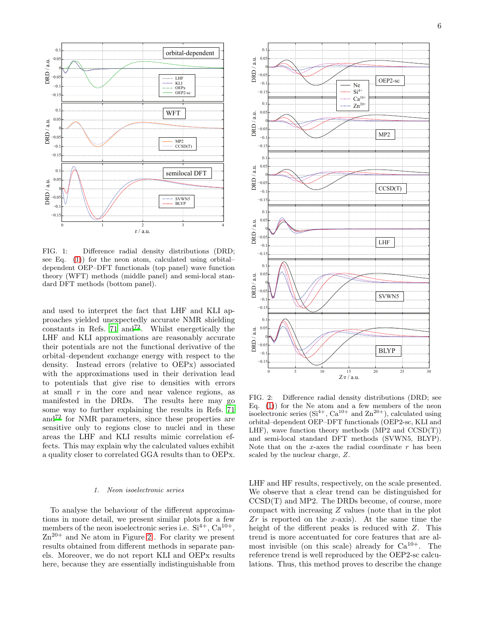

6



<span id="page-5-0"></span>FIG. 1: Difference radial density distributions (DRD; see Eq. [\(1\)](#page-0-0)) for the neon atom, calculated using orbital– dependent OEP–DFT functionals (top panel) wave function theory (WFT) methods (middle panel) and semi-local standard DFT methods (bottom panel).

and used to interpret the fact that LHF and KLI approaches yielded unexpectedly accurate NMR shielding constants in Refs.  $71 \text{ and } 72$  $71 \text{ and } 72$ . Whilst energetically the LHF and KLI approximations are reasonably accurate their potentials are not the functional derivative of the orbital–dependent exchange energy with respect to the density. Instead errors (relative to OEPx) associated with the approximations used in their derivation lead to potentials that give rise to densities with errors at small  $r$  in the core and near valence regions, as manifested in the DRDs. The results here may go some way to further explaining the results in Refs. [71](#page-10-24) and[72](#page-10-40) for NMR parameters, since these properties are sensitive only to regions close to nuclei and in these areas the LHF and KLI results mimic correlation effects. This may explain why the calculated values exhibit a quality closer to correlated GGA results than to OEPx.

## *1. Neon isoelectronic series*

To analyse the behaviour of the different approximations in more detail, we present similar plots for a few members of the neon isoelectronic series i.e.  $Si^{4+}$ ,  $Ca^{10+}$ ,  $\text{Zn}^{20+}$  and Ne atom in Figure [2](#page-5-1). For clarity we present results obtained from different methods in separate panels. Moreover, we do not report KLI and OEPx results here, because they are essentially indistinguishable from



<span id="page-5-1"></span>FIG. 2: Difference radial density distributions (DRD; see Eq. [\(1\)](#page-0-0)) for the Ne atom and a few members of the neon isoelectronic series  $(Si^{4+}, Ca^{10+}$  and  $Zn^{20+}$ ), calculated using orbital–dependent OEP–DFT functionals (OEP2-sc, KLI and LHF), wave function theory methods  $(MP2 \text{ and } CCSD(T))$ and semi-local standard DFT methods (SVWN5, BLYP). Note that on the x-axes the radial coordinate  $r$  has been scaled by the nuclear charge, Z.

LHF and HF results, respectively, on the scale presented. We observe that a clear trend can be distinguished for CCSD(T) and MP2. The DRDs become, of course, more compact with increasing Z values (note that in the plot  $Zr$  is reported on the x-axis). At the same time the height of the different peaks is reduced with Z. This trend is more accentuated for core features that are almost invisible (on this scale) already for  $Ca^{10+}$ . The reference trend is well reproduced by the OEP2-sc calculations. Thus, this method proves to describe the change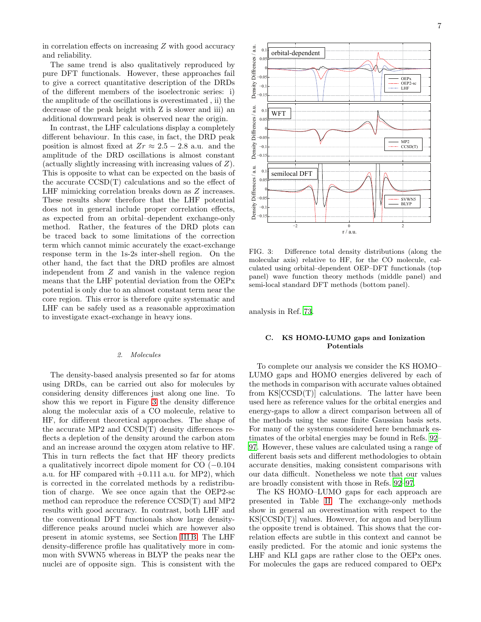in correlation effects on increasing Z with good accuracy and reliability.

The same trend is also qualitatively reproduced by pure DFT functionals. However, these approaches fail to give a correct quantitative description of the DRDs of the different members of the isoelectronic series: i) the amplitude of the oscillations is overestimated , ii) the decrease of the peak height with Z is slower and iii) an additional downward peak is observed near the origin.

In contrast, the LHF calculations display a completely different behaviour. In this case, in fact, the DRD peak position is almost fixed at  $Zr \approx 2.5 - 2.8$  a.u. and the amplitude of the DRD oscillations is almost constant (actually slightly increasing with increasing values of Z). This is opposite to what can be expected on the basis of the accurate CCSD(T) calculations and so the effect of LHF mimicking correlation breaks down as Z increases. These results show therefore that the LHF potential does not in general include proper correlation effects, as expected from an orbital–dependent exchange-only method. Rather, the features of the DRD plots can be traced back to some limitations of the correction term which cannot mimic accurately the exact-exchange response term in the 1s-2s inter-shell region. On the other hand, the fact that the DRD profiles are almost independent from Z and vanish in the valence region means that the LHF potential deviation from the OEPx potential is only due to an almost constant term near the core region. This error is therefore quite systematic and LHF can be safely used as a reasonable approximation to investigate exact-exchange in heavy ions.

# <span id="page-6-1"></span>*2. Molecules*

The density-based analysis presented so far for atoms using DRDs, can be carried out also for molecules by considering density differences just along one line. To show this we report in Figure [3](#page-6-2) the density difference along the molecular axis of a CO molecule, relative to HF, for different theoretical approaches. The shape of the accurate MP2 and CCSD(T) density differences reflects a depletion of the density around the carbon atom and an increase around the oxygen atom relative to HF. This in turn reflects the fact that HF theory predicts a qualitatively incorrect dipole moment for CO (−0.104 a.u. for HF compared with  $+0.111$  a.u. for MP2), which is corrected in the correlated methods by a redistribution of charge. We see once again that the OEP2-sc method can reproduce the reference CCSD(T) and MP2 results with good accuracy. In contrast, both LHF and the conventional DFT functionals show large densitydifference peaks around nuclei which are however also present in atomic systems, see Section [III B.](#page-4-0) The LHF density-difference profile has qualitatively more in common with SVWN5 whereas in BLYP the peaks near the nuclei are of opposite sign. This is consistent with the



<span id="page-6-2"></span>FIG. 3: Difference total density distributions (along the molecular axis) relative to HF, for the CO molecule, calculated using orbital–dependent OEP–DFT functionals (top panel) wave function theory methods (middle panel) and semi-local standard DFT methods (bottom panel).

analysis in Ref. [73.](#page-10-25)

# <span id="page-6-0"></span>C. KS HOMO-LUMO gaps and Ionization Potentials

To complete our analysis we consider the KS HOMO– LUMO gaps and HOMO energies delivered by each of the methods in comparison with accurate values obtained from  $KS[CCSD(T)]$  calculations. The latter have been used here as reference values for the orbital energies and energy-gaps to allow a direct comparison between all of the methods using the same finite Gaussian basis sets. For many of the systems considered here benchmark estimates of the orbital energies may be found in Refs. [92](#page-10-41)– [97](#page-11-0). However, these values are calculated using a range of different basis sets and different methodologies to obtain accurate densities, making consistent comparisons with our data difficult. Nonetheless we note that our values are broadly consistent with those in Refs. [92](#page-10-41)[–97.](#page-11-0)

The KS HOMO–LUMO gaps for each approach are presented in Table [II.](#page-7-0) The exchange-only methods show in general an overestimation with respect to the KS[CCSD(T)] values. However, for argon and beryllium the opposite trend is obtained. This shows that the correlation effects are subtle in this context and cannot be easily predicted. For the atomic and ionic systems the LHF and KLI gaps are rather close to the OEPx ones. For molecules the gaps are reduced compared to OEPx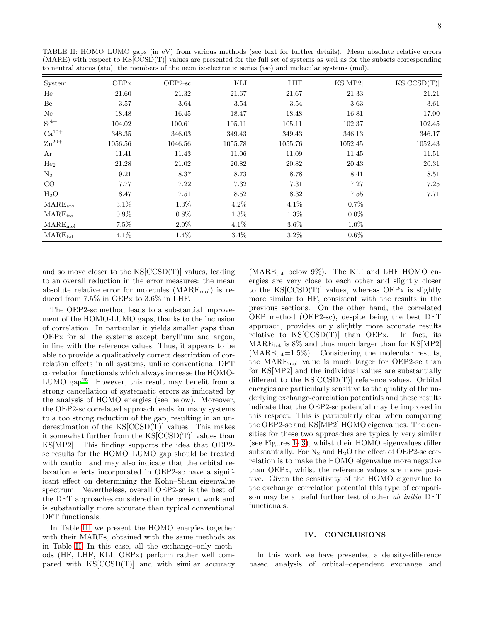| to neutral atoms (ato), the members of the neon isoelectronic series (iso) and molecular systems (mol). |         |         |         |         |         |             |  |
|---------------------------------------------------------------------------------------------------------|---------|---------|---------|---------|---------|-------------|--|
| System                                                                                                  | OEPX    | OEP2-sc | KLI     | LHF     | KS[MP2] | KS[CCSD(T)] |  |
| He                                                                                                      | 21.60   | 21.32   | 21.67   | 21.67   | 21.33   | 21.21       |  |
| Be                                                                                                      | 3.57    | 3.64    | 3.54    | 3.54    | 3.63    | 3.61        |  |
| Ne                                                                                                      | 18.48   | 16.45   | 18.47   | 18.48   | 16.81   | 17.00       |  |
| $Si4+$                                                                                                  | 104.02  | 100.61  | 105.11  | 105.11  | 102.37  | 102.45      |  |
| $Ca^{10+}$                                                                                              | 348.35  | 346.03  | 349.43  | 349.43  | 346.13  | 346.17      |  |
| $\rm Zn^{20+}$                                                                                          | 1056.56 | 1046.56 | 1055.78 | 1055.76 | 1052.45 | 1052.43     |  |
| Ar                                                                                                      | 11.41   | 11.43   | 11.06   | 11.09   | 11.45   | 11.51       |  |
| He <sub>2</sub>                                                                                         | 21.28   | 21.02   | 20.82   | 20.82   | 20.43   | 20.31       |  |
| $\rm N_2$                                                                                               | 9.21    | 8.37    | 8.73    | 8.78    | 8.41    | 8.51        |  |
| $_{\rm CO}$                                                                                             | 7.77    | 7.22    | 7.32    | 7.31    | 7.27    | 7.25        |  |
| $H_2O$                                                                                                  | 8.47    | 7.51    | 8.52    | 8.32    | 7.55    | 7.71        |  |
| $\rm MARE_{ato}$                                                                                        | $3.1\%$ | $1.3\%$ | $4.2\%$ | $4.1\%$ | $0.7\%$ |             |  |
| $\rm MARE_{\rm iso}$                                                                                    | $0.9\%$ | $0.8\%$ | 1.3%    | $1.3\%$ | $0.0\%$ |             |  |
| $\mathrm{MARE}_{\mathrm{mol}}$                                                                          | $7.5\%$ | 2.0%    | $4.1\%$ | $3.6\%$ | $1.0\%$ |             |  |

 $\text{MARE}_{\text{tot}}$  and  $4.1\%$  and  $1.4\%$  and  $3.4\%$  and  $3.2\%$  and  $0.6\%$ 

<span id="page-7-0"></span>TABLE II: HOMO–LUMO gaps (in eV) from various methods (see text for further details). Mean absolute relative errors (MARE) with respect to KS[CCSD(T)] values are presented for the full set of systems as well as for the subsets corresponding

and so move closer to the KS[CCSD(T)] values, leading to an overall reduction in the error measures: the mean absolute relative error for molecules  $(MARE_{mol})$  is reduced from 7.5% in OEPx to 3.6% in LHF.

The OEP2-sc method leads to a substantial improvement of the HOMO-LUMO gaps, thanks to the inclusion of correlation. In particular it yields smaller gaps than OEPx for all the systems except beryllium and argon, in line with the reference values. Thus, it appears to be able to provide a qualitatively correct description of correlation effects in all systems, unlike conventional DFT correlation functionals which always increase the HOMO-LUMO gap<sup>[25](#page-9-23)</sup>. However, this result may benefit from a strong cancellation of systematic errors as indicated by the analysis of HOMO energies (see below). Moreover, the OEP2-sc correlated approach leads for many systems to a too strong reduction of the gap, resulting in an underestimation of the KS[CCSD(T)] values. This makes it somewhat further from the KS[CCSD(T)] values than KS[MP2]. This finding supports the idea that OEP2 sc results for the HOMO–LUMO gap should be treated with caution and may also indicate that the orbital relaxation effects incorporated in OEP2-sc have a significant effect on determining the Kohn–Sham eigenvalue spectrum. Nevertheless, overall OEP2-sc is the best of the DFT approaches considered in the present work and is substantially more accurate than typical conventional DFT functionals.

In Table [III](#page-8-0) we present the HOMO energies together with their MAREs, obtained with the same methods as in Table [II.](#page-7-0) In this case, all the exchange–only methods (HF, LHF, KLI, OEPx) perform rather well compared with KS[CCSD(T)] and with similar accuracy

(MAR $E_{tot}$  below 9%). The KLI and LHF HOMO energies are very close to each other and slightly closer to the  $KS[CCSD(T)]$  values, whereas OEPx is slightly more similar to HF, consistent with the results in the previous sections. On the other hand, the correlated OEP method (OEP2-sc), despite being the best DFT approach, provides only slightly more accurate results relative to  $KS[CCSD(T)]$  than OEPx. In fact, its  $\text{MARE}_{\text{tot}}$  is 8% and thus much larger than for KS[MP2]  $(MARE<sub>tot</sub>=1.5%)$ . Considering the molecular results, the  $\text{MARE}_{\text{mol}}$  value is much larger for OEP2-sc than for KS[MP2] and the individual values are substantially different to the KS[CCSD(T)] reference values. Orbital energies are particularly sensitive to the quality of the underlying exchange-correlation potentials and these results indicate that the OEP2-sc potential may be improved in this respect. This is particularly clear when comparing the OEP2-sc and KS[MP2] HOMO eigenvalues. The densities for these two approaches are typically very similar (see Figures [1-](#page-5-0) [3\)](#page-6-2), whilst their HOMO eigenvalues differ substantially. For  $N_2$  and  $H_2O$  the effect of OEP2-sc correlation is to make the HOMO eigenvalue more negative than OEPx, whilst the reference values are more positive. Given the sensitivity of the HOMO eigenvalue to the exchange–correlation potential this type of comparison may be a useful further test of other ab initio DFT functionals.

## IV. CONCLUSIONS

In this work we have presented a density-difference based analysis of orbital–dependent exchange and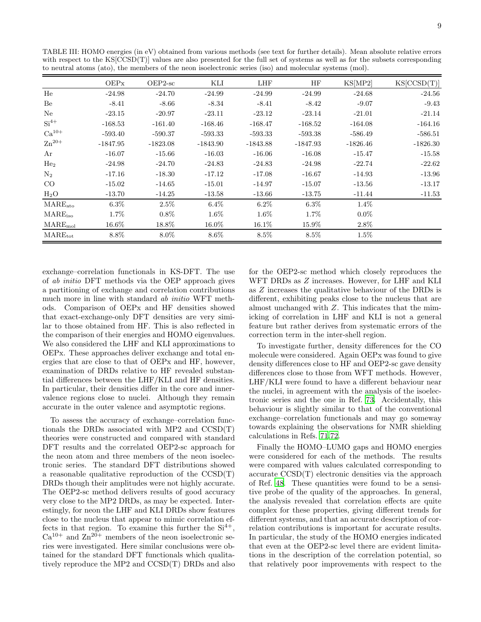<span id="page-8-0"></span>TABLE III: HOMO energies (in eV) obtained from various methods (see text for further details). Mean absolute relative errors with respect to the  $\text{KS}[\text{CCSD}(T)]$  values are also presented for the full set of systems as well as for the subsets corresponding to neutral atoms (ato), the members of the neon isoelectronic series (iso) and molecular systems (mol).

|                            | OEPx       | $OEP2-sc$  | KLI        | <b>LHF</b> | HF         | KS[MP2]    | KS[CCSD(T)] |
|----------------------------|------------|------------|------------|------------|------------|------------|-------------|
| He                         | $-24.98$   | $-24.70$   | $-24.99$   | $-24.99$   | $-24.99$   | $-24.68$   | $-24.56$    |
| Be                         | $-8.41$    | $-8.66$    | $-8.34$    | $-8.41$    | $-8.42$    | $-9.07$    | $-9.43$     |
| Ne                         | $-23.15$   | $-20.97$   | $-23.11$   | $-23.12$   | $-23.14$   | $-21.01$   | $-21.14$    |
| $Si4+$                     | $-168.53$  | $-161.40$  | $-168.46$  | $-168.47$  | $-168.52$  | $-164.08$  | $-164.16$   |
| $Ca^{10+}$                 | $-593.40$  | $-590.37$  | $-593.33$  | $-593.33$  | $-593.38$  | $-586.49$  | $-586.51$   |
| $\rm Zn^{20+}$             | $-1847.95$ | $-1823.08$ | $-1843.90$ | $-1843.88$ | $-1847.93$ | $-1826.46$ | $-1826.30$  |
| Ar                         | $-16.07$   | $-15.66$   | $-16.03$   | $-16.06$   | $-16.08$   | $-15.47$   | $-15.58$    |
| He <sub>2</sub>            | $-24.98$   | $-24.70$   | $-24.83$   | $-24.83$   | $-24.98$   | $-22.74$   | $-22.62$    |
| $\rm N_2$                  | $-17.16$   | $-18.30$   | $-17.12$   | $-17.08$   | $-16.67$   | $-14.93$   | $-13.96$    |
| CO                         | $-15.02$   | $-14.65$   | $-15.01$   | $-14.97$   | $-15.07$   | $-13.56$   | $-13.17$    |
| $H_2O$                     | $-13.70$   | $-14.25$   | $-13.58$   | $-13.66$   | $-13.75$   | $-11.44$   | $-11.53$    |
| $\rm MARE_{\rm ato}$       | $6.3\%$    | 2.5%       | 6.4%       | $6.2\%$    | $6.3\%$    | $1.4\%$    |             |
| $\rm MARE_{\rm iso}$       | 1.7%       | $0.8\%$    | 1.6%       | 1.6%       | $1.7\%$    | $0.0\%$    |             |
| $\rm MARE_{\rm mol}$       | $16.6\%$   | $18.8\%$   | $16.0\%$   | 16.1%      | 15.9%      | $2.8\%$    |             |
| $\text{MARE}_{\text{tot}}$ | 8.8%       | $8.0\%$    | 8.6%       | 8.5%       | 8.5%       | $1.5\%$    |             |

exchange-correlation functionals in KS-DFT. The use of *ab initio* DFT methods via the OEP approach gives a partitioning of exchange and correlation contributions much more in line with standard ab initio WFT methods. Comparison of OEP<sub>x</sub> and HF densities showed that exact-exchange-only DFT densities are very similar to those obtained from HF. This is also reflected in the comparison of their energies and HOMO eigenvalues. We also considered the LHF and KLI approximations to OEPx. These approaches deliver exchange and total energies that are close to that of OEPx and HF, however, examination of DRDs relative to HF revealed substantial differences between the LHF/KLI and HF densities. In particular, their densities differ in the core and innervalence regions close to nuclei. Although they remain accurate in the outer valence and asymptotic regions.

To assess the accuracy of exchange-correlation functionals the DRDs associated with MP2 and CCSD(T) theories were constructed and compared with standard DFT results and the correlated OEP2-sc approach for the neon atom and three members of the neon isoelectronic series. The standard DFT distributions showed a reasonable qualitative reproduction of the  $CCSD(T)$ DRDs though their amplitudes were not highly accurate. The OEP2-sc method delivers results of good accuracy very close to the MP2 DRDs, as may be expected. Interestingly, for neon the LHF and KLI DRDs show features close to the nucleus that appear to mimic correlation effects in that region. To examine this further the  $Si^{4+}$ ,  $Ca^{10+}$  and  $Zn^{20+}$  members of the neon isoelectronic series were investigated. Here similar conclusions were obtained for the standard DFT functionals which qualitytively reproduce the MP2 and CCSD(T) DRDs and also

for the OEP2-sc method which closely reproduces the WFT DRDs as Z increases. However, for LHF and KLI as  $Z$  increases the qualitative behaviour of the DRDs is different, exhibiting peaks close to the nucleus that are almost unchanged with  $Z$ . This indicates that the mimicking of correlation in LHF and KLI is not a general feature but rather derives from systematic errors of the correction term in the inter-shell region.

To investigate further, density differences for the CO molecule were considered. Again OEPx was found to give density differences close to HF and OEP2-sc gave density differences close to those from WFT methods. However, LHF/KLI were found to have a different behaviour near the nuclei, in agreement with the analysis of the isoelectronic series and the one in Ref. 73. Accidentally, this behaviour is slightly similar to that of the conventional exchange–correlation functionals and may go someway towards explaining the observations for NMR shielding calculations in Refs. 71,72.

Finally the HOMO–LUMO gaps and HOMO energies were considered for each of the methods. The results were compared with values calculated corresponding to  $\alpha$  accurate  $\text{CCSD(T)}$  electronic densities via the approach of Ref. 48. These quantities were found to be a sensitive probe of the quality of the approaches. In general, the analysis revealed that correlation effects are quite complex for these properties, giving different trends for different systems, and that an accurate description of correlation contributions is important for accurate results. In particular, the study of the HOMO energies indicated that even at the OEP2-sc level there are evident limitations in the description of the correlation potential, so that relatively poor improvements with respect to the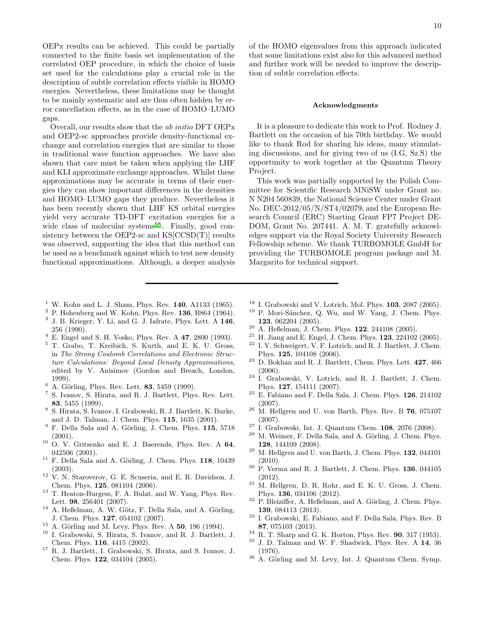OEPx results can be achieved. This could be partially connected to the finite basis set implementation of the correlated OEP procedure, in which the choice of basis set used for the calculations play a crucial role in the description of subtle correlation effects visible in HOMO energies. Nevertheless, these limitations may be thought to be mainly systematic and are thus often hidden by error cancellation effects, as in the case of HOMO–LUMO gaps.

Overall, our results show that the ab initio DFT OEPx and OEP2-sc approaches provide density-functional exchange and correlation energies that are similar to those in traditional wave function approaches. We have also shown that care must be taken when applying the LHF and KLI approximate exchange approaches. Whilst these approximations may be accurate in terms of their energies they can show important differences in the densities and HOMO–LUMO gaps they produce. Nevertheless it has been recently shown that LHF KS orbital energies yield very accurate TD-DFT excitation energies for a wide class of molecular systems<sup>[68](#page-10-42)</sup>. Finally, good consistency between the OEP2-sc and KS[CCSD(T)] results was observed, supporting the idea that this method can be used as a benchmark against which to test new density functional approximations. Although, a deeper analysis

- <span id="page-9-0"></span><sup>1</sup> W. Kohn and L. J. Sham, Phys. Rev.  $140$ , A1133 (1965).
- <span id="page-9-1"></span> $2$  P. Hohenberg and W. Kohn, Phys. Rev. 136, B864 (1964).
- <span id="page-9-2"></span> $3$  J. B. Krieger, Y. Li, and G. J. Iafrate, Phys. Lett. A  $146$ , 256 (1990).
- $4$  E. Engel and S. H. Vosko, Phys. Rev. A  $47$ , 2800 (1993).
- <sup>5</sup> T. Grabo, T. Kreibich, S. Kurth, and E. K. U. Gross, in *The Strong Coulomb Correlations and Electronic Structure Calculations: Beyond Local Density Approximations*, edited by V. Anisimov (Gordon and Breach, London, 1999).
- <span id="page-9-18"></span> $6$  A. Görling, Phys. Rev. Lett. 83, 5459 (1999).
- <span id="page-9-19"></span>7 S. Ivanov, S. Hirata, and R. J. Bartlett, Phys. Rev. Lett. 83, 5455 (1999).
- <span id="page-9-20"></span><sup>8</sup> S. Hirata, S. Ivanov, I. Grabowski, R. J. Bartlett, K. Burke, and J. D. Talman, J. Chem. Phys. 115, 1635 (2001).
- <span id="page-9-13"></span> $9$  F. Della Sala and A. Görling, J. Chem. Phys. 115, 5718 (2001).
- <span id="page-9-22"></span> $10$  O. V. Gritsenko and E. J. Baerends, Phys. Rev. A 64, 042506 (2001).
- $11$  F. Della Sala and A. Görling, J. Chem. Phys. 118, 10439 (2003).
- <span id="page-9-21"></span><sup>12</sup> V. N. Staroverov, G. E. Scuseria, and E. R. Davidson, J. Chem. Phys. 125, 081104 (2006).
- <span id="page-9-24"></span><sup>13</sup> T. Heaton-Burgess, F. A. Bulat, and W. Yang, Phys. Rev. Lett. 98, 256401 (2007).
- <span id="page-9-3"></span> $14$  A. Heßelman, A. W. Götz, F. Della Sala, and A. Görling, J. Chem. Phys. 127, 054102 (2007).
- <span id="page-9-4"></span> $15$  A. Görling and M. Levy, Phys. Rev. A 50, 196 (1994).
- <span id="page-9-8"></span><sup>16</sup> I. Grabowski, S. Hirata, S. Ivanov, and R. J. Bartlett, J. Chem. Phys. 116, 4415 (2002).
- <span id="page-9-10"></span><sup>17</sup> R. J. Bartlett, I. Grabowski, S. Hirata, and S. Ivanov, J. Chem. Phys. 122, 034104 (2005).

of the HOMO eigenvalues from this approach indicated that some limitations exist also for this advanced method and further work will be needed to improve the description of subtle correlation effects.

### Acknowledgments

It is a pleasure to dedicate this work to Prof. Rodney J. Bartlett on the occasion of his 70th birthday. We would like to thank Rod for sharing his ideas, many stimulating discussions, and for giving two of us (I.G, Sz.S) the opportunity to work together at the Quantum Theory Project.

This work was partially supported by the Polish Committee for Scientific Research MNiSW under Grant no. N N204 560839, the National Science Center under Grant No. DEC-2012/05/N/ST4/02079, and the European Research Council (ERC) Starting Grant FP7 Project DE-DOM, Grant No. 207441. A. M. T. gratefully acknowledges support via the Royal Society University Research Fellowship scheme. We thank TURBOMOLE GmbH for providing the TURBOMOLE program package and M. Margarito for technical support.

- <span id="page-9-14"></span><sup>18</sup> I. Grabowski and V. Lotrich, Mol. Phys. **103**, 2087 (2005).<br><sup>19</sup> P. Mori-Sánchez, O. Wu, and W. Yang, J. Chem. Phys.
- <span id="page-9-16"></span><sup>19</sup> P. Mori-S´anchez, Q. Wu, and W. Yang, J. Chem. Phys. 123, 062204 (2005).
- <sup>20</sup> A. Heßelman, J. Chem. Phys. 122, 244108 (2005).
- <span id="page-9-17"></span> $^{21}$  H. Jiang and E. Engel, J. Chem. Phys.  $123$ ,  $224102$  (2005).
- <span id="page-9-15"></span><sup>22</sup> I. V. Schweigert, V. F. Lotrich, and R. J. Bartlett, J. Chem. Phys. 125, 104108 (2006).
- $^{23}$  D. Bokhan and R. J. Bartlett, Chem. Phys. Lett.  $\bf 427,\,466$ (2006).
- <span id="page-9-11"></span><sup>24</sup> I. Grabowski, V. Lotrich, and R. J. Bartlett, J. Chem. Phys. 127, 154111 (2007).
- <span id="page-9-23"></span><sup>25</sup> E. Fabiano and F. Della Sala, J. Chem. Phys. 126, 214102 (2007).
- $26$  M. Hellgren and U. von Barth, Phys. Rev. B 76, 075107 (2007).
- <span id="page-9-12"></span><sup>27</sup> I. Grabowski, Int. J. Quantum Chem. **108**, 2076 (2008).
- M. Weimer, F. Della Sala, and A. Görling, J. Chem. Phys. 128, 144109 (2008).
- $29$  M. Hellgren and U. von Barth, J. Chem. Phys. 132, 044101  $(2010)$ .
- $30$  P. Verma and R. J. Bartlett, J. Chem. Phys. 136, 044105 (2012).
- $31$  M. Hellgren, D. R. Rohr, and E. K. U. Gross, J. Chem. Phys. 136, 034106 (2012).
- $32$  P. Bleiziffer, A. Heßelman, and A. Görling, J. Chem. Phys. 139, 084113 (2013).
- <span id="page-9-5"></span> $^{33}$ I. Grabowski, E. Fabiano, and F. Della Sala, Phys. Rev. B 87, 075103 (2013).
- <span id="page-9-6"></span> $34$  R. T. Sharp and G. K. Horton, Phys. Rev. 90, 317 (1953).
- <span id="page-9-7"></span><sup>35</sup> J. D. Talman and W. F. Shadwick, Phys. Rev. A 14, 36 (1976).
- <span id="page-9-9"></span> $36$  A. Görling and M. Levy, Int. J. Quantum Chem. Symp.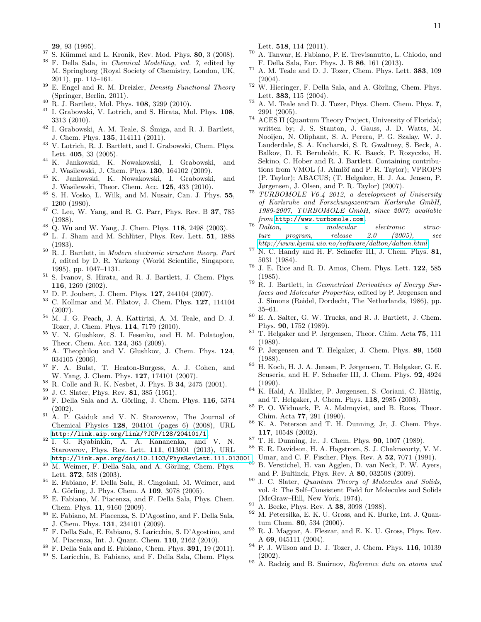29, 93 (1995).

- <span id="page-10-0"></span><sup>37</sup> S. Kümmel and L. Kronik, Rev. Mod. Phys. **80**, 3 (2008).<br><sup>38</sup> E. Dalla Sala, in *Chemical Modelling, sol.* 7, odited by
- <sup>38</sup> F. Della Sala, in *Chemical Modelling, vol. 7*, edited by M. Springborg (Royal Society of Chemistry, London, UK, 2011), pp. 115–161.
- <span id="page-10-1"></span><sup>39</sup> E. Engel and R. M. Dreizler, *Density Functional Theory* (Springer, Berlin, 2011).
- <span id="page-10-2"></span><sup>40</sup> R. J. Bartlett, Mol. Phys. 108, 3299 (2010).
- <span id="page-10-12"></span><sup>41</sup> I. Grabowski, V. Lotrich, and S. Hirata, Mol. Phys. 108, 3313 (2010).
- <span id="page-10-3"></span> $^{42}$  I. Grabowski, A. M. Teale, S. Śmiga, and R. J. Bartlett,  $\,$ J. Chem. Phys. 135, 114111 (2011).
- <span id="page-10-4"></span><sup>43</sup> V. Lotrich, R. J. Bartlett, and I. Grabowski, Chem. Phys. Lett. 405, 33 (2005).
- <span id="page-10-5"></span><sup>44</sup> K. Jankowski, K. Nowakowski, I. Grabowski, and J. Wasilewski, J. Chem. Phys. 130, 164102 (2009).
- <span id="page-10-6"></span><sup>45</sup> K. Jankowski, K. Nowakowski, I. Grabowski, and J. Wasilewski, Theor. Chem. Acc. 125, 433 (2010).
- <span id="page-10-7"></span><sup>46</sup> S. H. Vosko, L. Wilk, and M. Nusair, Can. J. Phys. 55, 1200 (1980).
- <span id="page-10-8"></span> $47$  C. Lee, W. Yang, and R. G. Parr, Phys. Rev. B 37, 785 (1988).
- <span id="page-10-9"></span> $48$  Q. Wu and W. Yang, J. Chem. Phys. 118, 2498 (2003).
- <span id="page-10-10"></span> $49$  L. J. Sham and M. Schlüter, Phys. Rev. Lett. 51, 1888 (1983).
- <span id="page-10-11"></span><sup>50</sup> R. J. Bartlett, in *Modern electronic structure theory, Part I*, edited by D. R. Yarkony (World Scientific, Singapore, 1995), pp. 1047–1131.
- <span id="page-10-13"></span><sup>51</sup> S. Ivanov, S. Hirata, and R. J. Bartlett, J. Chem. Phys. 116, 1269 (2002).
- <span id="page-10-14"></span><sup>52</sup> D. P. Joubert, J. Chem. Phys. 127, 244104 (2007).
- <sup>53</sup> C. Kollmar and M. Filatov, J. Chem. Phys. 127, 114104 (2007).
- <sup>54</sup> M. J. G. Peach, J. A. Kattirtzi, A. M. Teale, and D. J. Tozer, J. Chem. Phys. 114, 7179 (2010).
- <sup>55</sup> V. N. Glushkov, S. I. Fesenko, and H. M. Polatoglou, Theor. Chem. Acc. 124, 365 (2009).
- <span id="page-10-15"></span> $56$  A. Theophilou and V. Glushkov, J. Chem. Phys. 124, 034105 (2006).
- <span id="page-10-16"></span><sup>57</sup> F. A. Bulat, T. Heaton-Burgess, A. J. Cohen, and W. Yang, J. Chem. Phys. **127**, 174101 (2007).
- <span id="page-10-17"></span><sup>58</sup> R. Colle and R. K. Nesbet, J. Phys. B 34, 2475 (2001).
- <span id="page-10-18"></span> $^{59}$  J. C. Slater, Phys. Rev. 81, 385 (1951).
- <span id="page-10-19"></span>F. Della Sala and A. Görling, J. Chem. Phys. 116, 5374 (2002).
- <span id="page-10-20"></span> $61$  A. P. Gaiduk and V. N. Staroverov, The Journal of Chemical Physics 128, 204101 (pages 6) (2008), URL <http://link.aip.org/link/?JCP/128/204101/1>.
- <span id="page-10-21"></span><sup>62</sup> I. G. Ryabinkin, A. A. Kananenka, and V. N. Staroverov, Phys. Rev. Lett. 111, 013001 (2013), URL <http://link.aps.org/doi/10.1103/PhysRevLett.111.013001>.
- <span id="page-10-22"></span> $63$  M. Weimer, F. Della Sala, and A. Görling, Chem. Phys. Lett. 372, 538 (2003).
- <sup>64</sup> E. Fabiano, F. Della Sala, R. Cingolani, M. Weimer, and A. Görling, J. Phys. Chem. A 109, 3078 (2005).
- <sup>65</sup> E. Fabiano, M. Piacenza, and F. Della Sala, Phys. Chem. Chem. Phys. 11, 9160 (2009).
- <sup>66</sup> E. Fabiano, M. Piacenza, S. D'Agostino, and F. Della Sala, J. Chem. Phys. 131, 234101 (2009).
- <sup>67</sup> F. Della Sala, E. Fabiano, S. Laricchia, S. D'Agostino, and M. Piacenza, Int. J. Quant. Chem. 110, 2162 (2010).
- <span id="page-10-42"></span> $^{68}$  F. Della Sala and E. Fabiano, Chem. Phys. 391, 19 (2011).
- <sup>69</sup> S. Laricchia, E. Fabiano, and F. Della Sala, Chem. Phys.

Lett. 518, 114 (2011).

- <span id="page-10-23"></span><sup>70</sup> A. Tanwar, E. Fabiano, P. E. Trevisanutto, L. Chiodo, and F. Della Sala, Eur. Phys. J. B 86, 161 (2013).
- <span id="page-10-24"></span> $71$  A. M. Teale and D. J. Tozer, Chem. Phys. Lett.  $383$ ,  $109$ (2004).
- <span id="page-10-40"></span> $72$  W. Hieringer, F. Della Sala, and A. Görling, Chem. Phys. Lett. 383, 115 (2004).
- <span id="page-10-25"></span><sup>73</sup> A. M. Teale and D. J. Tozer, Phys. Chem. Chem. Phys. 7, 2991 (2005).
- <span id="page-10-26"></span><sup>74</sup> ACES II (Quantum Theory Project, University of Florida); written by; J. S. Stanton, J. Gauss, J. D. Watts, M. Nooijen, N. Oliphant, S. A. Perera, P. G. Szalay, W. J. Lauderdale, S. A. Kucharski, S. R. Gwaltney, S. Beck, A. Balkov, D. E. Bernholdt, K. K. Baeck, P. Rozyczko, H. Sekino, C. Hober and R. J. Bartlett. Containing contributions from VMOL (J. Almlöf and P. R. Taylor); VPROPS (P. Taylor); ABACUS; (T. Helgaker, H. J. Aa. Jensen, P. Jørgensen, J. Olsen, and P. R. Taylor) (2007).
- <span id="page-10-27"></span><sup>75</sup> *TURBOMOLE V6.4 2012, a development of University of Karlsruhe and Forschungszentrum Karlsruhe GmbH, 1989-2007, TURBOMOLE GmbH, since 2007; available from* <http://www.turbomole.com>*.*
- <span id="page-10-28"></span><sup>76</sup> *Dalton, a molecular electronic structure program, release 2.0 (2005), see <http://www.kjemi.uio.no/software/dalton/dalton.html>*.
- <span id="page-10-29"></span> $77$  N. C. Handy and H. F. Schaefer III, J. Chem. Phys. 81, 5031 (1984).
- <sup>78</sup> J. E. Rice and R. D. Amos, Chem. Phys. Lett. 122, 585 (1985).
- <sup>79</sup> R. J. Bartlett, in *Geometrical Derivatives of Energy Surfaces and Molecular Properties*, edited by P. Jørgensen and J. Simons (Reidel, Dordecht, The Netherlands, 1986), pp. 35–61.
- <span id="page-10-30"></span><sup>80</sup> E. A. Salter, G. W. Trucks, and R. J. Bartlett, J. Chem. Phys. 90, 1752 (1989).
- <span id="page-10-31"></span><sup>81</sup> T. Helgaker and P. Jørgensen, Theor. Chim. Acta 75, 111 (1989).
- <sup>82</sup> P. Jørgensen and T. Helgaker, J. Chem. Phys. 89, 1560 (1988).
- <sup>83</sup> H. Koch, H. J. A. Jensen, P. Jørgensen, T. Helgaker, G. E. Scuseria, and H. F. Schaefer III, J. Chem. Phys. 92, 4924 (1990).
- <span id="page-10-32"></span> $84$  K. Hald, A. Halkier, P. Jørgensen, S. Coriani, C. Hättig, and T. Helgaker, J. Chem. Phys. 118, 2985 (2003).
- <span id="page-10-33"></span><sup>85</sup> P. O. Widmark, P. A. Malmqvist, and B. Roos, Theor. Chim. Acta 77, 291 (1990).
- <span id="page-10-34"></span><sup>86</sup> K. A. Peterson and T. H. Dunning, Jr, J. Chem. Phys. 117, 10548 (2002).
- <span id="page-10-35"></span><sup>87</sup> T. H. Dunning, Jr., J. Chem. Phys. 90, 1007 (1989).
- <span id="page-10-36"></span><sup>88</sup> E. R. Davidson, H. A. Hagstrom, S. J. Chakravorty, V. M. Umar, and C. F. Fischer, Phys. Rev. A 52, 7071 (1991).
- <span id="page-10-37"></span>B. Verstichel, H. van Agglen, D. van Neck, P. W. Ayers, and P. Bultinck, Phys. Rev. A 80, 032508 (2009).
- <span id="page-10-38"></span><sup>90</sup> J. C. Slater, *Quantum Theory of Molecules and Solids*, vol. 4: The Self–Consistent Field for Molecules and Solids (McGraw–Hill, New York, 1974).
- <span id="page-10-39"></span><sup>91</sup> A. Becke, Phys. Rev. A **38**, 3098 (1988).
- <span id="page-10-41"></span>M. Petersilka, E. K. U. Gross, and K. Burke, Int. J. Quantum Chem. 80, 534 (2000).
- R. J. Magyar, A. Fleszar, and E. K. U. Gross, Phys. Rev. A 69, 045111 (2004).
- $94$  P. J. Wilson and D. J. Tozer, J. Chem. Phys. 116, 10139 (2002).
- <sup>95</sup> A. Radzig and B. Smirnov, *Reference data on atoms and*